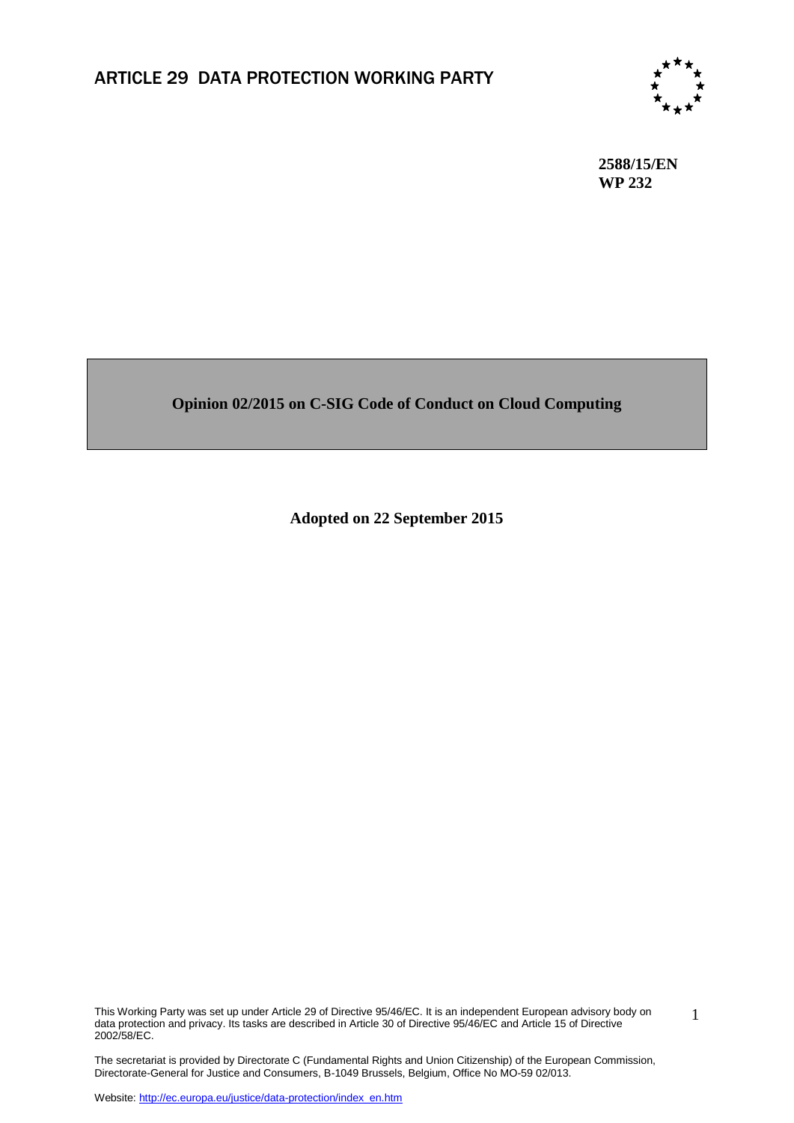

**2588/15/EN WP 232**

#### **Opinion 02/2015 on C-SIG Code of Conduct on Cloud Computing**

**Adopted on 22 September 2015**

This Working Party was set up under Article 29 of Directive 95/46/EC. It is an independent European advisory body on data protection and privacy. Its tasks are described in Article 30 of Directive 95/46/EC and Article 15 of Directive 2002/58/EC.

1

The secretariat is provided by Directorate C (Fundamental Rights and Union Citizenship) of the European Commission, Directorate-General for Justice and Consumers, B-1049 Brussels, Belgium, Office No MO-59 02/013.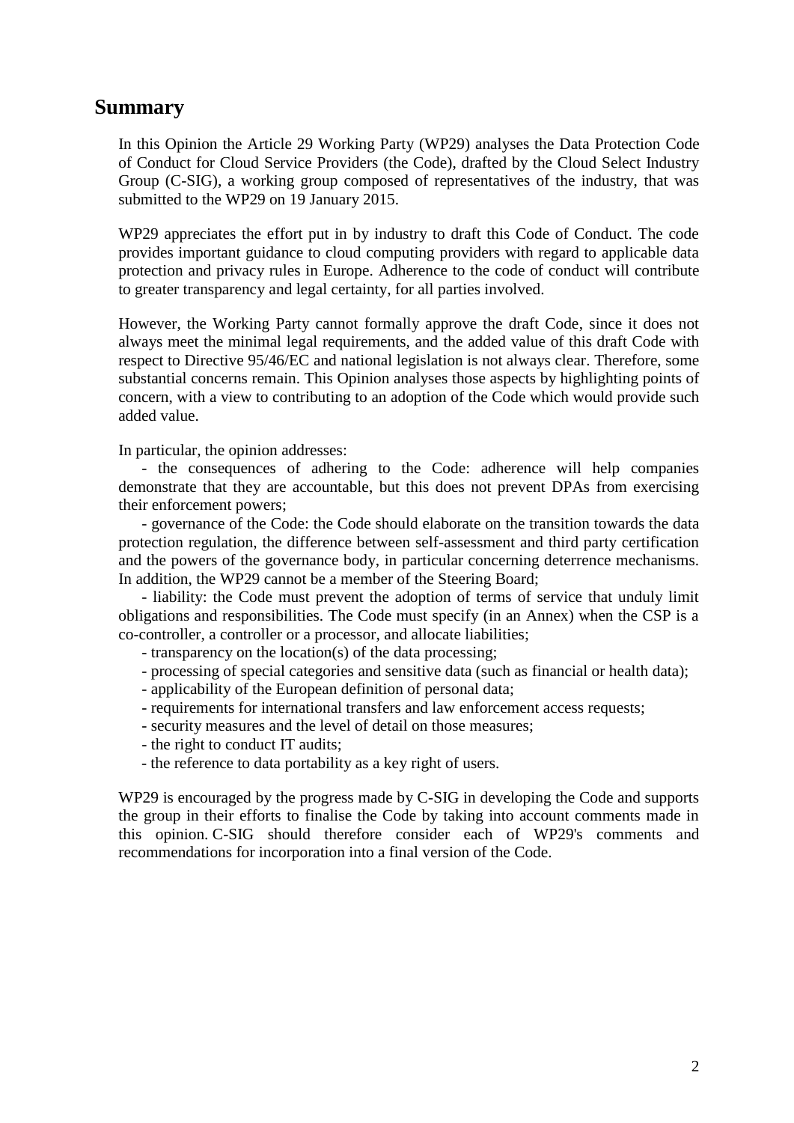#### **Summary**

In this Opinion the Article 29 Working Party (WP29) analyses the Data Protection Code of Conduct for Cloud Service Providers (the Code), drafted by the Cloud Select Industry Group (C-SIG), a working group composed of representatives of the industry, that was submitted to the WP29 on 19 January 2015.

WP29 appreciates the effort put in by industry to draft this Code of Conduct. The code provides important guidance to cloud computing providers with regard to applicable data protection and privacy rules in Europe. Adherence to the code of conduct will contribute to greater transparency and legal certainty, for all parties involved.

However, the Working Party cannot formally approve the draft Code, since it does not always meet the minimal legal requirements, and the added value of this draft Code with respect to Directive 95/46/EC and national legislation is not always clear. Therefore, some substantial concerns remain. This Opinion analyses those aspects by highlighting points of concern, with a view to contributing to an adoption of the Code which would provide such added value.

In particular, the opinion addresses:

- the consequences of adhering to the Code: adherence will help companies demonstrate that they are accountable, but this does not prevent DPAs from exercising their enforcement powers;

- governance of the Code: the Code should elaborate on the transition towards the data protection regulation, the difference between self-assessment and third party certification and the powers of the governance body, in particular concerning deterrence mechanisms. In addition, the WP29 cannot be a member of the Steering Board;

- liability: the Code must prevent the adoption of terms of service that unduly limit obligations and responsibilities. The Code must specify (in an Annex) when the CSP is a co-controller, a controller or a processor, and allocate liabilities;

- transparency on the location(s) of the data processing;

- processing of special categories and sensitive data (such as financial or health data);
- applicability of the European definition of personal data;
- requirements for international transfers and law enforcement access requests;
- security measures and the level of detail on those measures;
- the right to conduct IT audits;
- the reference to data portability as a key right of users.

WP29 is encouraged by the progress made by C-SIG in developing the Code and supports the group in their efforts to finalise the Code by taking into account comments made in this opinion. C-SIG should therefore consider each of WP29's comments and recommendations for incorporation into a final version of the Code.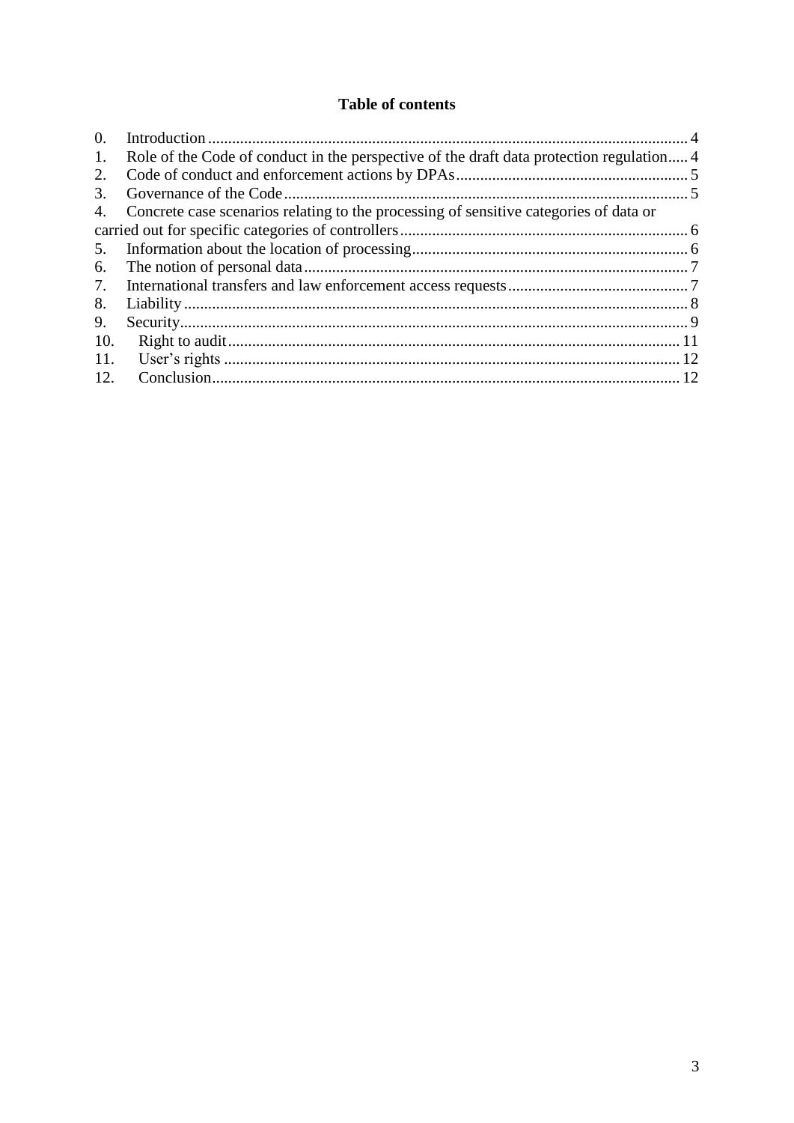#### **Table of contents**

| $\Omega$ |                                                                                          |  |
|----------|------------------------------------------------------------------------------------------|--|
| 1.       | Role of the Code of conduct in the perspective of the draft data protection regulation 4 |  |
| 2.       |                                                                                          |  |
| 3.       |                                                                                          |  |
| 4.       | Concrete case scenarios relating to the processing of sensitive categories of data or    |  |
|          |                                                                                          |  |
| 5.       |                                                                                          |  |
| 6.       |                                                                                          |  |
| 7.       |                                                                                          |  |
| 8.       |                                                                                          |  |
| 9.       |                                                                                          |  |
| 10.      |                                                                                          |  |
| 11.      |                                                                                          |  |
| 12.      |                                                                                          |  |
|          |                                                                                          |  |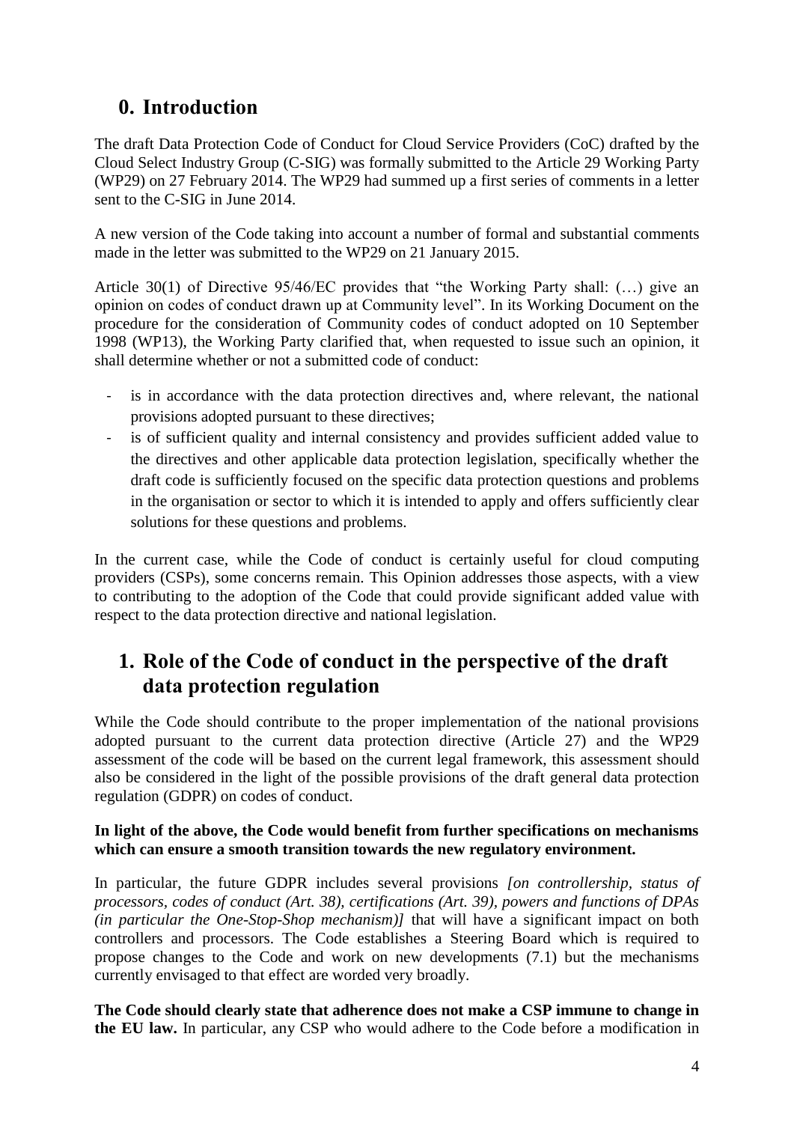# <span id="page-3-0"></span>**0. Introduction**

The draft Data Protection Code of Conduct for Cloud Service Providers (CoC) drafted by the Cloud Select Industry Group (C-SIG) was formally submitted to the Article 29 Working Party (WP29) on 27 February 2014. The WP29 had summed up a first series of comments in a letter sent to the C-SIG in June 2014.

A new version of the Code taking into account a number of formal and substantial comments made in the letter was submitted to the WP29 on 21 January 2015.

Article 30(1) of Directive 95/46/EC provides that "the Working Party shall: (…) give an opinion on codes of conduct drawn up at Community level". In its Working Document on the procedure for the consideration of Community codes of conduct adopted on 10 September 1998 (WP13), the Working Party clarified that, when requested to issue such an opinion, it shall determine whether or not a submitted code of conduct:

- is in accordance with the data protection directives and, where relevant, the national provisions adopted pursuant to these directives;
- is of sufficient quality and internal consistency and provides sufficient added value to the directives and other applicable data protection legislation, specifically whether the draft code is sufficiently focused on the specific data protection questions and problems in the organisation or sector to which it is intended to apply and offers sufficiently clear solutions for these questions and problems.

In the current case, while the Code of conduct is certainly useful for cloud computing providers (CSPs), some concerns remain. This Opinion addresses those aspects, with a view to contributing to the adoption of the Code that could provide significant added value with respect to the data protection directive and national legislation.

# <span id="page-3-1"></span>**1. Role of the Code of conduct in the perspective of the draft data protection regulation**

While the Code should contribute to the proper implementation of the national provisions adopted pursuant to the current data protection directive (Article 27) and the WP29 assessment of the code will be based on the current legal framework, this assessment should also be considered in the light of the possible provisions of the draft general data protection regulation (GDPR) on codes of conduct.

#### **In light of the above, the Code would benefit from further specifications on mechanisms which can ensure a smooth transition towards the new regulatory environment.**

In particular, the future GDPR includes several provisions *[on controllership, status of processors, codes of conduct (Art. 38), certifications (Art. 39), powers and functions of DPAs (in particular the One-Stop-Shop mechanism)]* that will have a significant impact on both controllers and processors. The Code establishes a Steering Board which is required to propose changes to the Code and work on new developments (7.1) but the mechanisms currently envisaged to that effect are worded very broadly.

**The Code should clearly state that adherence does not make a CSP immune to change in the EU law.** In particular, any CSP who would adhere to the Code before a modification in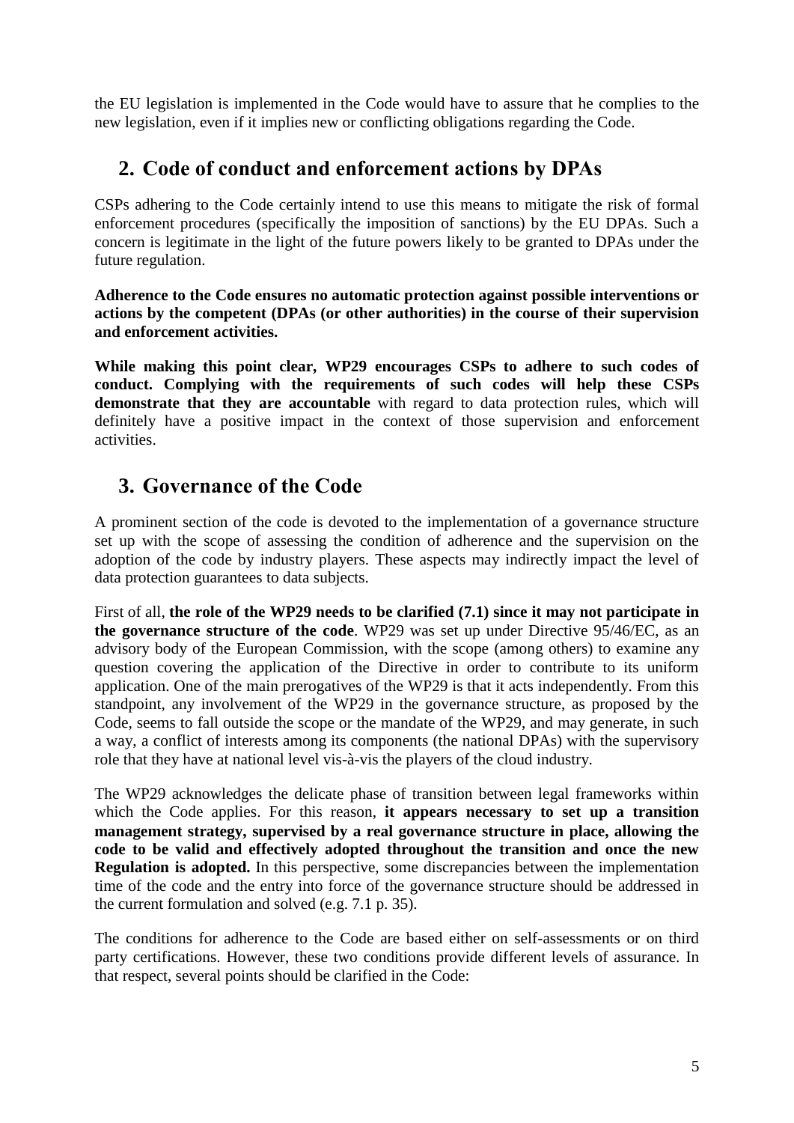the EU legislation is implemented in the Code would have to assure that he complies to the new legislation, even if it implies new or conflicting obligations regarding the Code.

## <span id="page-4-0"></span>**2. Code of conduct and enforcement actions by DPAs**

CSPs adhering to the Code certainly intend to use this means to mitigate the risk of formal enforcement procedures (specifically the imposition of sanctions) by the EU DPAs. Such a concern is legitimate in the light of the future powers likely to be granted to DPAs under the future regulation.

**Adherence to the Code ensures no automatic protection against possible interventions or actions by the competent (DPAs (or other authorities) in the course of their supervision and enforcement activities.** 

**While making this point clear, WP29 encourages CSPs to adhere to such codes of conduct. Complying with the requirements of such codes will help these CSPs demonstrate that they are accountable** with regard to data protection rules, which will definitely have a positive impact in the context of those supervision and enforcement activities.

# <span id="page-4-1"></span>**3. Governance of the Code**

A prominent section of the code is devoted to the implementation of a governance structure set up with the scope of assessing the condition of adherence and the supervision on the adoption of the code by industry players. These aspects may indirectly impact the level of data protection guarantees to data subjects.

First of all, **the role of the WP29 needs to be clarified (7.1) since it may not participate in the governance structure of the code**. WP29 was set up under Directive 95/46/EC, as an advisory body of the European Commission, with the scope (among others) to examine any question covering the application of the Directive in order to contribute to its uniform application. One of the main prerogatives of the WP29 is that it acts independently. From this standpoint, any involvement of the WP29 in the governance structure, as proposed by the Code, seems to fall outside the scope or the mandate of the WP29, and may generate, in such a way, a conflict of interests among its components (the national DPAs) with the supervisory role that they have at national level vis-à-vis the players of the cloud industry.

The WP29 acknowledges the delicate phase of transition between legal frameworks within which the Code applies. For this reason, **it appears necessary to set up a transition management strategy, supervised by a real governance structure in place, allowing the code to be valid and effectively adopted throughout the transition and once the new Regulation is adopted.** In this perspective, some discrepancies between the implementation time of the code and the entry into force of the governance structure should be addressed in the current formulation and solved (e.g. 7.1 p. 35).

The conditions for adherence to the Code are based either on self-assessments or on third party certifications. However, these two conditions provide different levels of assurance. In that respect, several points should be clarified in the Code: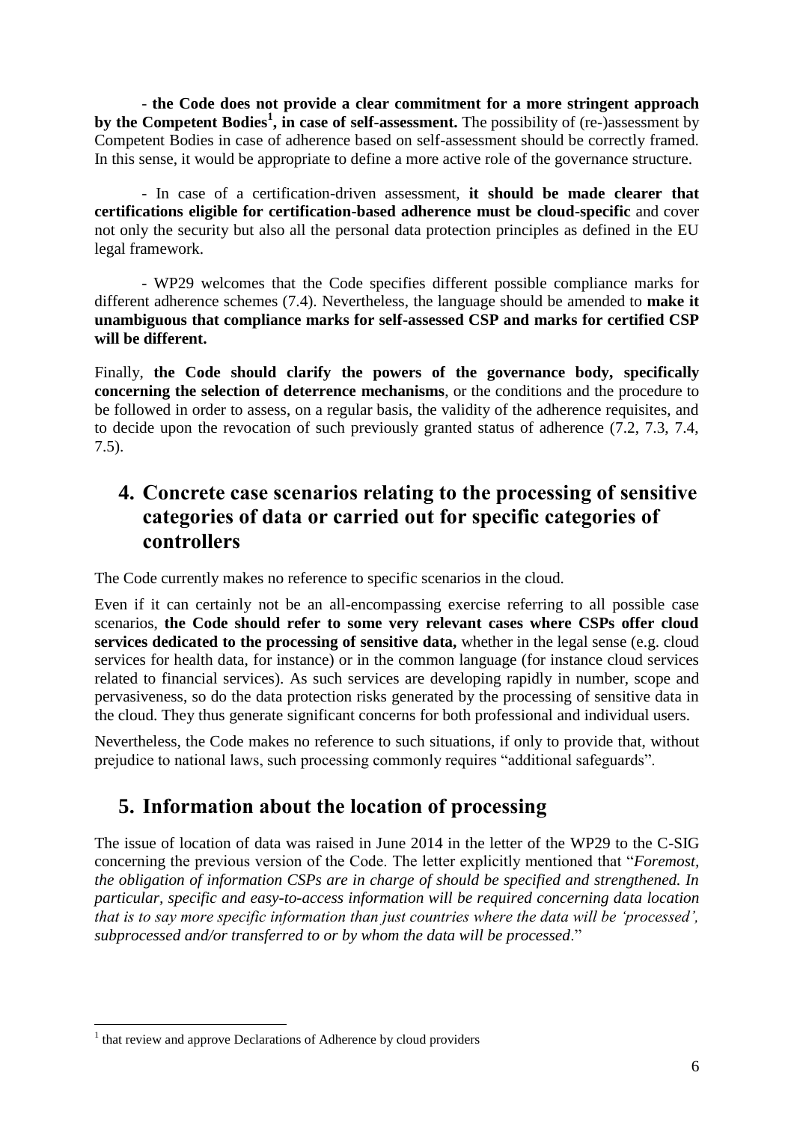- **the Code does not provide a clear commitment for a more stringent approach by the Competent Bodies<sup>1</sup> , in case of self-assessment.** The possibility of (re-)assessment by Competent Bodies in case of adherence based on self-assessment should be correctly framed. In this sense, it would be appropriate to define a more active role of the governance structure.

- In case of a certification-driven assessment, **it should be made clearer that certifications eligible for certification-based adherence must be cloud-specific** and cover not only the security but also all the personal data protection principles as defined in the EU legal framework.

- WP29 welcomes that the Code specifies different possible compliance marks for different adherence schemes (7.4). Nevertheless, the language should be amended to **make it unambiguous that compliance marks for self-assessed CSP and marks for certified CSP will be different.** 

Finally, **the Code should clarify the powers of the governance body, specifically concerning the selection of deterrence mechanisms**, or the conditions and the procedure to be followed in order to assess, on a regular basis, the validity of the adherence requisites, and to decide upon the revocation of such previously granted status of adherence (7.2, 7.3, 7.4, 7.5).

## <span id="page-5-0"></span>**4. Concrete case scenarios relating to the processing of sensitive categories of data or carried out for specific categories of controllers**

The Code currently makes no reference to specific scenarios in the cloud.

Even if it can certainly not be an all-encompassing exercise referring to all possible case scenarios, **the Code should refer to some very relevant cases where CSPs offer cloud services dedicated to the processing of sensitive data,** whether in the legal sense (e.g. cloud services for health data, for instance) or in the common language (for instance cloud services related to financial services). As such services are developing rapidly in number, scope and pervasiveness, so do the data protection risks generated by the processing of sensitive data in the cloud. They thus generate significant concerns for both professional and individual users.

Nevertheless, the Code makes no reference to such situations, if only to provide that, without prejudice to national laws, such processing commonly requires "additional safeguards".

# <span id="page-5-1"></span>**5. Information about the location of processing**

The issue of location of data was raised in June 2014 in the letter of the WP29 to the C-SIG concerning the previous version of the Code. The letter explicitly mentioned that "*Foremost, the obligation of information CSPs are in charge of should be specified and strengthened. In particular, specific and easy-to-access information will be required concerning data location that is to say more specific information than just countries where the data will be 'processed', subprocessed and/or transferred to or by whom the data will be processed*."

 $\overline{a}$ 

<sup>&</sup>lt;sup>1</sup> that review and approve Declarations of Adherence by cloud providers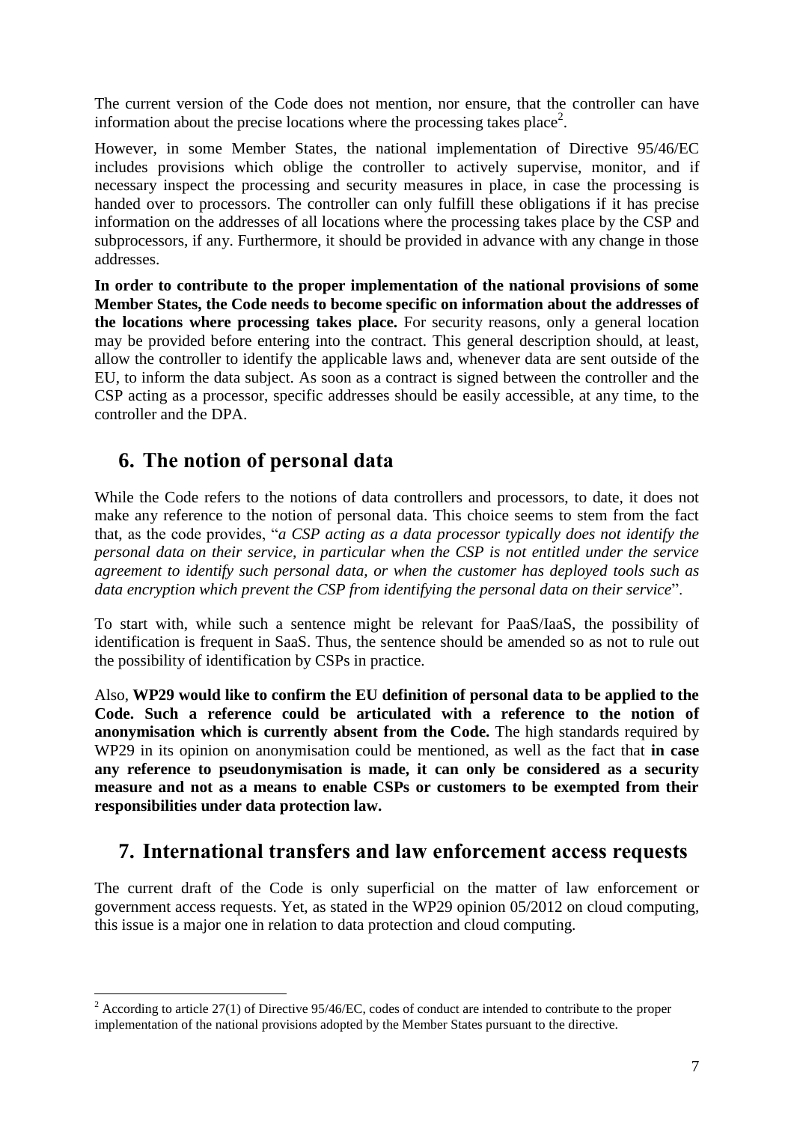The current version of the Code does not mention, nor ensure, that the controller can have information about the precise locations where the processing takes place<sup>2</sup>.

However, in some Member States, the national implementation of Directive 95/46/EC includes provisions which oblige the controller to actively supervise, monitor, and if necessary inspect the processing and security measures in place, in case the processing is handed over to processors. The controller can only fulfill these obligations if it has precise information on the addresses of all locations where the processing takes place by the CSP and subprocessors, if any. Furthermore, it should be provided in advance with any change in those addresses.

**In order to contribute to the proper implementation of the national provisions of some Member States, the Code needs to become specific on information about the addresses of the locations where processing takes place.** For security reasons, only a general location may be provided before entering into the contract. This general description should, at least, allow the controller to identify the applicable laws and, whenever data are sent outside of the EU, to inform the data subject. As soon as a contract is signed between the controller and the CSP acting as a processor, specific addresses should be easily accessible, at any time, to the controller and the DPA.

#### <span id="page-6-0"></span>**6. The notion of personal data**

 $\overline{a}$ 

While the Code refers to the notions of data controllers and processors, to date, it does not make any reference to the notion of personal data. This choice seems to stem from the fact that, as the code provides, "*a CSP acting as a data processor typically does not identify the personal data on their service, in particular when the CSP is not entitled under the service agreement to identify such personal data, or when the customer has deployed tools such as data encryption which prevent the CSP from identifying the personal data on their service*".

To start with, while such a sentence might be relevant for PaaS/IaaS, the possibility of identification is frequent in SaaS. Thus, the sentence should be amended so as not to rule out the possibility of identification by CSPs in practice.

Also, **WP29 would like to confirm the EU definition of personal data to be applied to the Code. Such a reference could be articulated with a reference to the notion of anonymisation which is currently absent from the Code.** The high standards required by WP29 in its opinion on anonymisation could be mentioned, as well as the fact that **in case any reference to pseudonymisation is made, it can only be considered as a security measure and not as a means to enable CSPs or customers to be exempted from their responsibilities under data protection law.** 

# <span id="page-6-1"></span>**7. International transfers and law enforcement access requests**

The current draft of the Code is only superficial on the matter of law enforcement or government access requests. Yet, as stated in the WP29 opinion 05/2012 on cloud computing, this issue is a major one in relation to data protection and cloud computing.

 $2^{2}$  According to article 27(1) of Directive 95/46/EC, codes of conduct are intended to contribute to the proper implementation of the national provisions adopted by the Member States pursuant to the directive.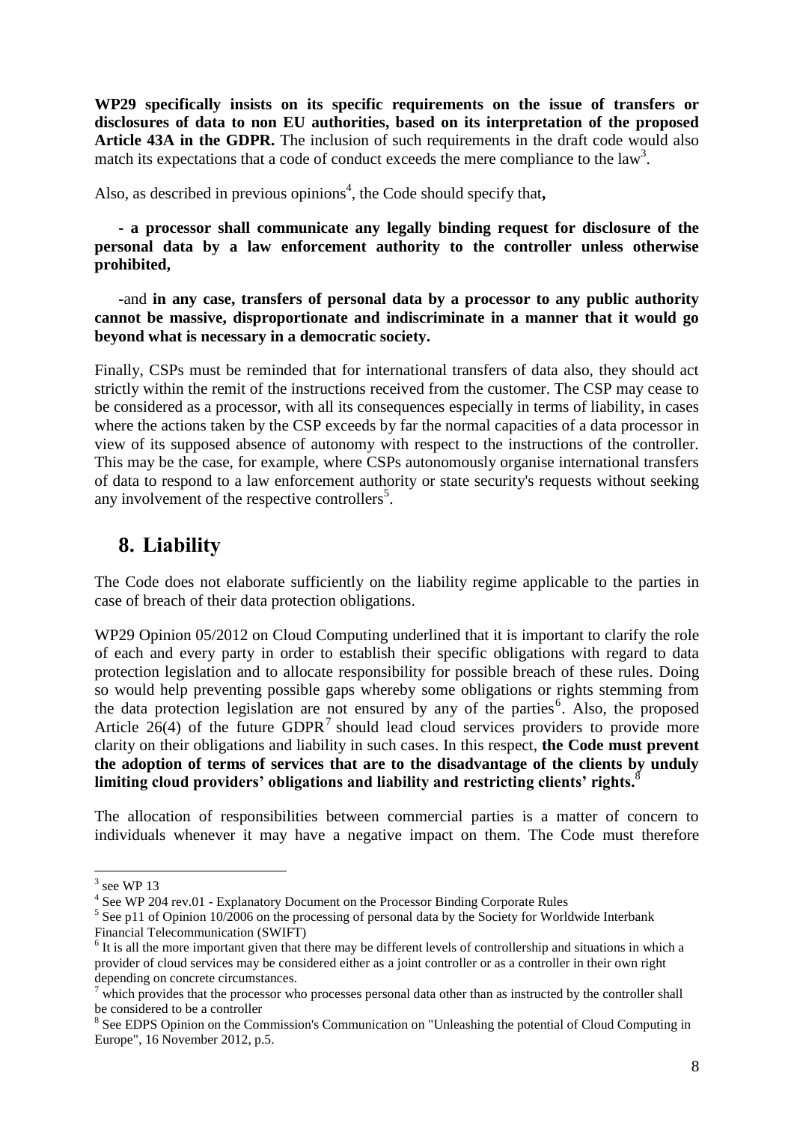**WP29 specifically insists on its specific requirements on the issue of transfers or disclosures of data to non EU authorities, based on its interpretation of the proposed Article 43A in the GDPR.** The inclusion of such requirements in the draft code would also match its expectations that a code of conduct exceeds the mere compliance to the  $law<sup>3</sup>$ .

Also, as described in previous opinions<sup>4</sup>, the Code should specify that,

**- a processor shall communicate any legally binding request for disclosure of the personal data by a law enforcement authority to the controller unless otherwise prohibited,** 

**-**and **in any case, transfers of personal data by a processor to any public authority cannot be massive, disproportionate and indiscriminate in a manner that it would go beyond what is necessary in a democratic society.**

Finally, CSPs must be reminded that for international transfers of data also, they should act strictly within the remit of the instructions received from the customer. The CSP may cease to be considered as a processor, with all its consequences especially in terms of liability, in cases where the actions taken by the CSP exceeds by far the normal capacities of a data processor in view of its supposed absence of autonomy with respect to the instructions of the controller. This may be the case, for example, where CSPs autonomously organise international transfers of data to respond to a law enforcement authority or state security's requests without seeking any involvement of the respective controllers<sup>5</sup>.

# <span id="page-7-0"></span>**8. Liability**

The Code does not elaborate sufficiently on the liability regime applicable to the parties in case of breach of their data protection obligations.

WP29 Opinion 05/2012 on Cloud Computing underlined that it is important to clarify the role of each and every party in order to establish their specific obligations with regard to data protection legislation and to allocate responsibility for possible breach of these rules. Doing so would help preventing possible gaps whereby some obligations or rights stemming from the data protection legislation are not ensured by any of the parties<sup>6</sup>. Also, the proposed Article  $26(4)$  of the future GDPR<sup>7</sup> should lead cloud services providers to provide more clarity on their obligations and liability in such cases. In this respect, **the Code must prevent the adoption of terms of services that are to the disadvantage of the clients by unduly limiting cloud providers' obligations and liability and restricting clients' rights.**<sup>8</sup>

The allocation of responsibilities between commercial parties is a matter of concern to individuals whenever it may have a negative impact on them. The Code must therefore

 $3$  see WP 13

<sup>&</sup>lt;sup>4</sup> See WP 204 rev.01 - Explanatory Document on the Processor Binding Corporate Rules

 $<sup>5</sup>$  See p11 of Opinion 10/2006 on the processing of personal data by the Society for Worldwide Interbank</sup> Financial Telecommunication (SWIFT)

<sup>&</sup>lt;sup>6</sup> It is all the more important given that there may be different levels of controllership and situations in which a provider of cloud services may be considered either as a joint controller or as a controller in their own right depending on concrete circumstances.

 $<sup>7</sup>$  which provides that the processor who processes personal data other than as instructed by the controller shall</sup> be considered to be a controller

<sup>&</sup>lt;sup>8</sup> See EDPS Opinion on the Commission's Communication on "Unleashing the potential of Cloud Computing in Europe", 16 November 2012, p.5.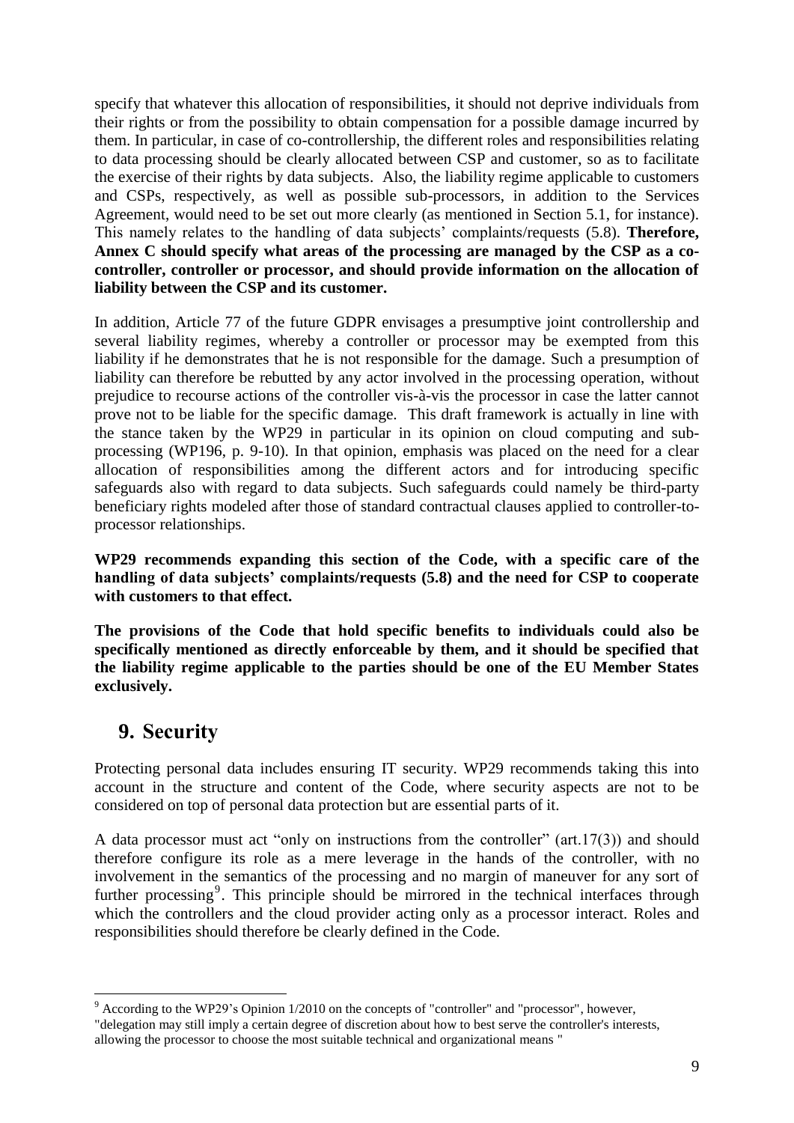specify that whatever this allocation of responsibilities, it should not deprive individuals from their rights or from the possibility to obtain compensation for a possible damage incurred by them. In particular, in case of co-controllership, the different roles and responsibilities relating to data processing should be clearly allocated between CSP and customer, so as to facilitate the exercise of their rights by data subjects. Also, the liability regime applicable to customers and CSPs, respectively, as well as possible sub-processors, in addition to the Services Agreement, would need to be set out more clearly (as mentioned in Section 5.1, for instance). This namely relates to the handling of data subjects' complaints/requests (5.8). **Therefore, Annex C should specify what areas of the processing are managed by the CSP as a cocontroller, controller or processor, and should provide information on the allocation of liability between the CSP and its customer.**

In addition, Article 77 of the future GDPR envisages a presumptive joint controllership and several liability regimes, whereby a controller or processor may be exempted from this liability if he demonstrates that he is not responsible for the damage. Such a presumption of liability can therefore be rebutted by any actor involved in the processing operation, without prejudice to recourse actions of the controller vis-à-vis the processor in case the latter cannot prove not to be liable for the specific damage. This draft framework is actually in line with the stance taken by the WP29 in particular in its opinion on cloud computing and subprocessing (WP196, p. 9-10). In that opinion, emphasis was placed on the need for a clear allocation of responsibilities among the different actors and for introducing specific safeguards also with regard to data subjects. Such safeguards could namely be third-party beneficiary rights modeled after those of standard contractual clauses applied to controller-toprocessor relationships.

**WP29 recommends expanding this section of the Code, with a specific care of the handling of data subjects' complaints/requests (5.8) and the need for CSP to cooperate with customers to that effect.** 

**The provisions of the Code that hold specific benefits to individuals could also be specifically mentioned as directly enforceable by them, and it should be specified that the liability regime applicable to the parties should be one of the EU Member States exclusively.** 

#### <span id="page-8-0"></span>**9. Security**

Protecting personal data includes ensuring IT security. WP29 recommends taking this into account in the structure and content of the Code, where security aspects are not to be considered on top of personal data protection but are essential parts of it.

A data processor must act "only on instructions from the controller" (art.17(3)) and should therefore configure its role as a mere leverage in the hands of the controller, with no involvement in the semantics of the processing and no margin of maneuver for any sort of further processing<sup>9</sup>. This principle should be mirrored in the technical interfaces through which the controllers and the cloud provider acting only as a processor interact. Roles and responsibilities should therefore be clearly defined in the Code.

 $\overline{a}$  $9$  According to the WP29's Opinion  $1/2010$  on the concepts of "controller" and "processor", however,

<sup>&</sup>quot;delegation may still imply a certain degree of discretion about how to best serve the controller's interests, allowing the processor to choose the most suitable technical and organizational means "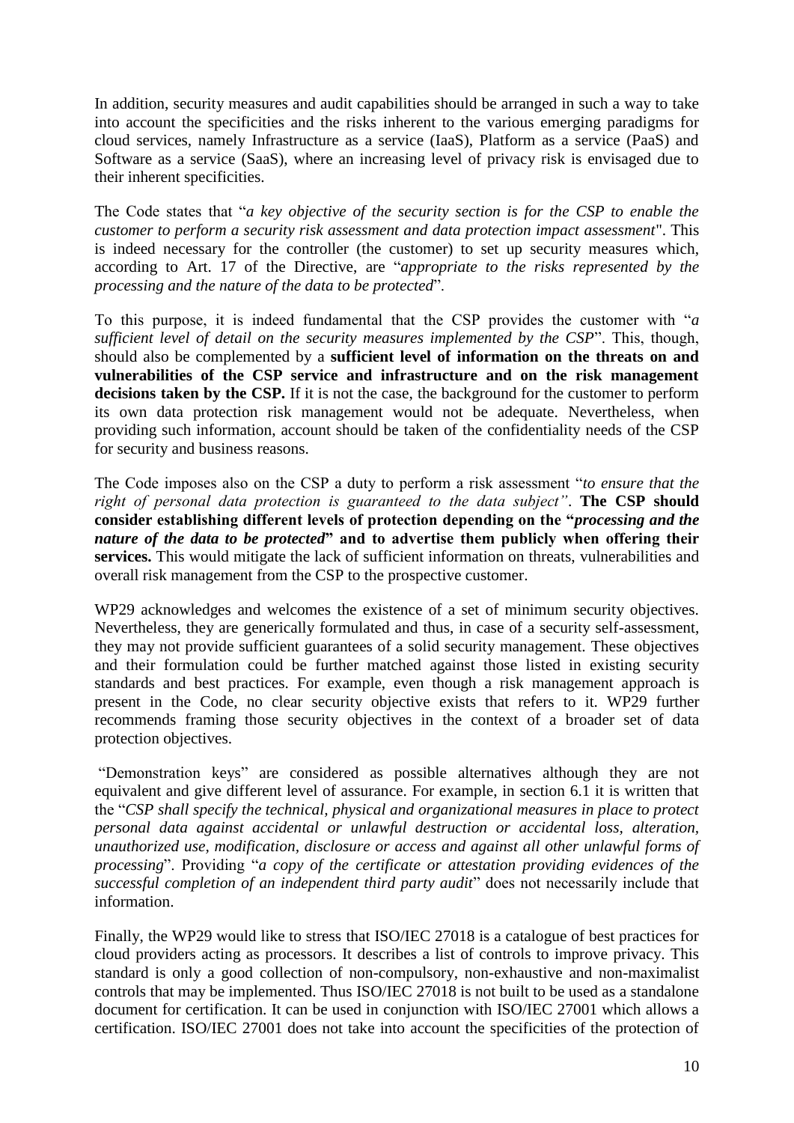In addition, security measures and audit capabilities should be arranged in such a way to take into account the specificities and the risks inherent to the various emerging paradigms for cloud services, namely Infrastructure as a service (IaaS), Platform as a service (PaaS) and Software as a service (SaaS), where an increasing level of privacy risk is envisaged due to their inherent specificities.

The Code states that "*a key objective of the security section is for the CSP to enable the customer to perform a security risk assessment and data protection impact assessment*". This is indeed necessary for the controller (the customer) to set up security measures which, according to Art. 17 of the Directive, are "*appropriate to the risks represented by the processing and the nature of the data to be protected*".

To this purpose, it is indeed fundamental that the CSP provides the customer with "*a sufficient level of detail on the security measures implemented by the CSP*". This, though, should also be complemented by a **sufficient level of information on the threats on and vulnerabilities of the CSP service and infrastructure and on the risk management decisions taken by the CSP.** If it is not the case, the background for the customer to perform its own data protection risk management would not be adequate. Nevertheless, when providing such information, account should be taken of the confidentiality needs of the CSP for security and business reasons.

The Code imposes also on the CSP a duty to perform a risk assessment "*to ensure that the right of personal data protection is guaranteed to the data subject"*. **The CSP should consider establishing different levels of protection depending on the "***processing and the nature of the data to be protected***" and to advertise them publicly when offering their services.** This would mitigate the lack of sufficient information on threats, vulnerabilities and overall risk management from the CSP to the prospective customer.

WP29 acknowledges and welcomes the existence of a set of minimum security objectives. Nevertheless, they are generically formulated and thus, in case of a security self-assessment, they may not provide sufficient guarantees of a solid security management. These objectives and their formulation could be further matched against those listed in existing security standards and best practices. For example, even though a risk management approach is present in the Code, no clear security objective exists that refers to it. WP29 further recommends framing those security objectives in the context of a broader set of data protection objectives.

"Demonstration keys" are considered as possible alternatives although they are not equivalent and give different level of assurance. For example, in section 6.1 it is written that the "*CSP shall specify the technical, physical and organizational measures in place to protect personal data against accidental or unlawful destruction or accidental loss, alteration, unauthorized use, modification, disclosure or access and against all other unlawful forms of processing*". Providing "*a copy of the certificate or attestation providing evidences of the successful completion of an independent third party audit*" does not necessarily include that information.

Finally, the WP29 would like to stress that ISO/IEC 27018 is a catalogue of best practices for cloud providers acting as processors. It describes a list of controls to improve privacy. This standard is only a good collection of non-compulsory, non-exhaustive and non-maximalist controls that may be implemented. Thus ISO/IEC 27018 is not built to be used as a standalone document for certification. It can be used in conjunction with ISO/IEC 27001 which allows a certification. ISO/IEC 27001 does not take into account the specificities of the protection of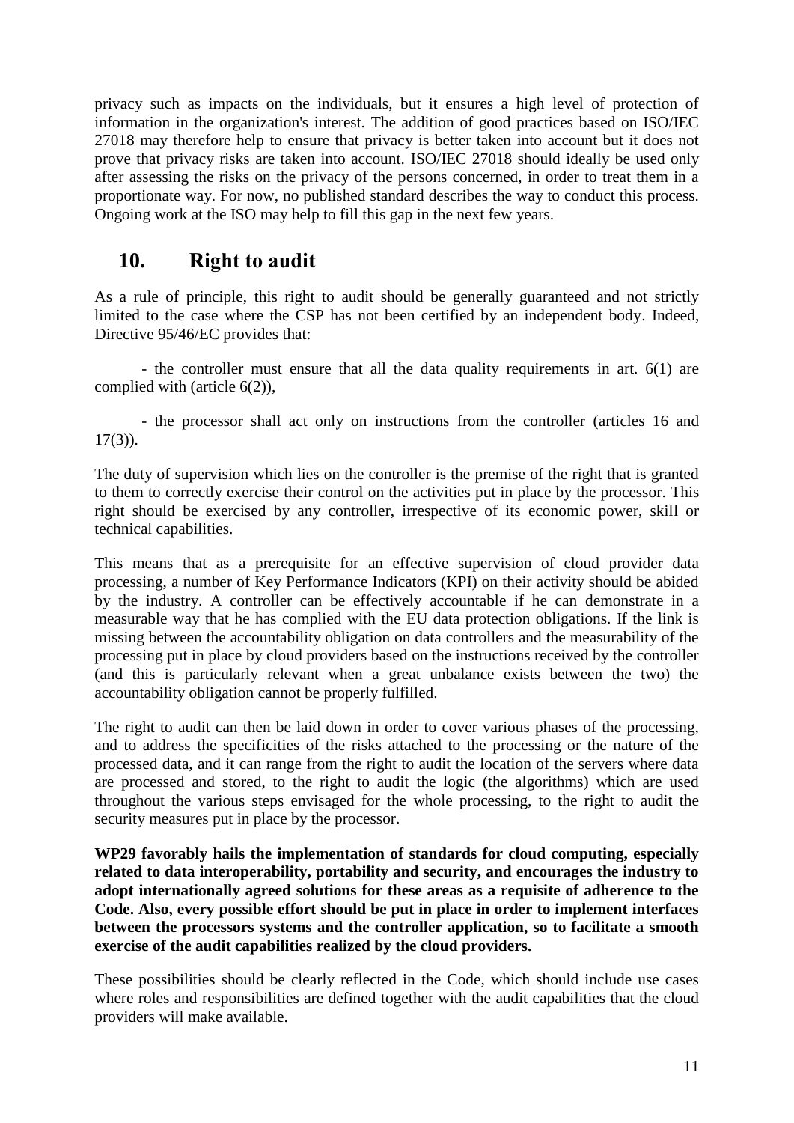privacy such as impacts on the individuals, but it ensures a high level of protection of information in the organization's interest. The addition of good practices based on ISO/IEC 27018 may therefore help to ensure that privacy is better taken into account but it does not prove that privacy risks are taken into account. ISO/IEC 27018 should ideally be used only after assessing the risks on the privacy of the persons concerned, in order to treat them in a proportionate way. For now, no published standard describes the way to conduct this process. Ongoing work at the ISO may help to fill this gap in the next few years.

# <span id="page-10-0"></span>**10. Right to audit**

As a rule of principle, this right to audit should be generally guaranteed and not strictly limited to the case where the CSP has not been certified by an independent body. Indeed, Directive 95/46/EC provides that:

- the controller must ensure that all the data quality requirements in art. 6(1) are complied with (article 6(2)),

- the processor shall act only on instructions from the controller (articles 16 and  $17(3)$ ).

The duty of supervision which lies on the controller is the premise of the right that is granted to them to correctly exercise their control on the activities put in place by the processor. This right should be exercised by any controller, irrespective of its economic power, skill or technical capabilities.

This means that as a prerequisite for an effective supervision of cloud provider data processing, a number of Key Performance Indicators (KPI) on their activity should be abided by the industry. A controller can be effectively accountable if he can demonstrate in a measurable way that he has complied with the EU data protection obligations. If the link is missing between the accountability obligation on data controllers and the measurability of the processing put in place by cloud providers based on the instructions received by the controller (and this is particularly relevant when a great unbalance exists between the two) the accountability obligation cannot be properly fulfilled.

The right to audit can then be laid down in order to cover various phases of the processing, and to address the specificities of the risks attached to the processing or the nature of the processed data, and it can range from the right to audit the location of the servers where data are processed and stored, to the right to audit the logic (the algorithms) which are used throughout the various steps envisaged for the whole processing, to the right to audit the security measures put in place by the processor.

**WP29 favorably hails the implementation of standards for cloud computing, especially related to data interoperability, portability and security, and encourages the industry to adopt internationally agreed solutions for these areas as a requisite of adherence to the Code. Also, every possible effort should be put in place in order to implement interfaces between the processors systems and the controller application, so to facilitate a smooth exercise of the audit capabilities realized by the cloud providers.**

These possibilities should be clearly reflected in the Code, which should include use cases where roles and responsibilities are defined together with the audit capabilities that the cloud providers will make available.